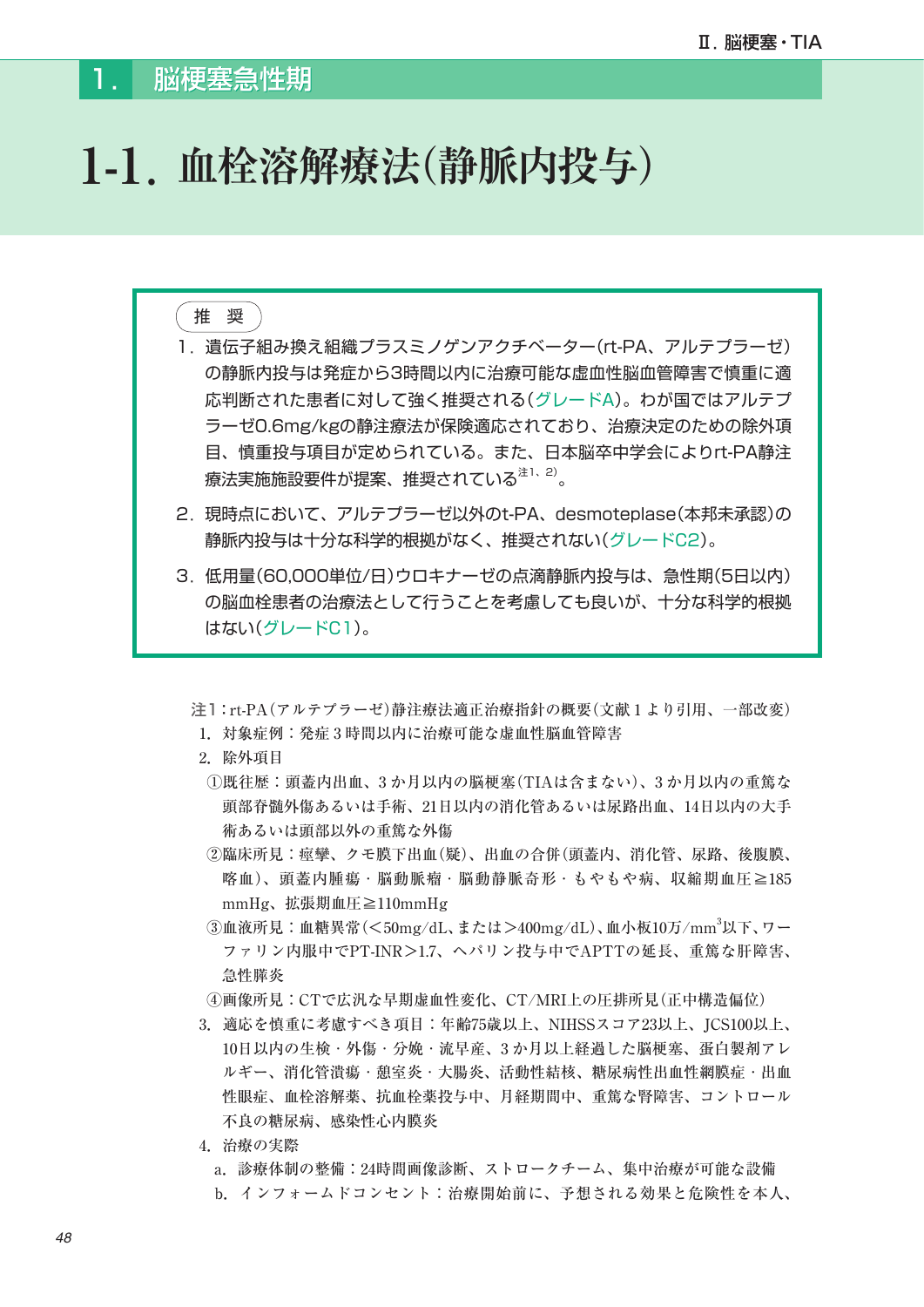## **1-1.血栓溶解療法(静脈内投与)**

## 推 奨

- 1. 遺伝子組み換え組織プラスミノゲンアクチベーター(rt-PA、アルテプラーゼ) の静脈内投与は発症から3時間以内に治療可能な虚血性脳血管障害で慎重に適 応判断された患者に対して強く推奨される(グレードA)。わが国ではアルテプ ラーゼ0.6mg/kgの静注療法が保険適応されており、治療決定のための除外項 目、慎重投与項目が定められている。また、日本脳卒中学会によりrt-PA静注 療法実施施設要件が提案、推奨されている<sup>注1、2)</sup>。
- 2. 現時点において、アルテプラーゼ以外のt-PA、desmoteplase(本邦未承認)の 静脈内投与は十分な科学的根拠がなく、推奨されない(グレードC2)。
- 3. 低用量(60,000単位/日)ウロキナーゼの点滴静脈内投与は、急性期(5日以内) の脳血栓患者の治療法として行うことを考慮しても良いが、十分な科学的根拠 はない(グレードC1)。

注1:rt-PA(アルテプラーゼ)静注療法適正治療指針の概要(文献 1 より引用、一部改変)

- 1.対象症例:発症 3 時間以内に治療可能な虚血性脳血管障害
- 2.除外項目
- ①既往歴:頭蓋内出血、3 か月以内の脳梗塞(TIAは含まない)、3 か月以内の重篤な 頭部脊髄外傷あるいは手術、21日以内の消化管あるいは尿路出血、14日以内の大手 術あるいは頭部以外の重篤な外傷
- ②臨床所見:痙攣、クモ膜下出血(疑)、出血の合併(頭蓋内、消化管、尿路、後腹膜、 喀血)、頭蓋内腫瘍・脳動脈瘤・脳動静脈奇形・もやもや病、収縮期血圧≧185 mmHg、拡張期血圧≧110mmHg
- ③血液所見:血糖異常(<50mg/dL、または>400mg/dL)、血小板10万/mm<sup>3</sup>以下、ワー ファリン内服中でPT-INR>1.7、ヘパリン投与中でAPTTの延長、重篤な肝障害、 急性膵炎
	- ④画像所見:CTで広汎な早期虚血性変化、CT/MRI上の圧排所見(正中構造偏位)
	- 3.適応を慎重に考慮すべき項目:年齢75歳以上、NIHSSスコア23以上、JCS100以上、 10日以内の生検・外傷・分娩・流早産、3 か月以上経過した脳梗塞、蛋白製剤アレ ルギー、消化管潰瘍・憩室炎・大腸炎、活動性結核、糖尿病性出血性網膜症・出血 性眼症、血栓溶解薬、抗血栓薬投与中、月経期間中、重篤な腎障害、コントロール 不良の糖尿病、感染性心内膜炎
	- 4.治療の実際
		- a.診療体制の整備:24時間画像診断、ストロークチーム、集中治療が可能な設備 b.インフォームドコンセント:治療開始前に、予想される効果と危険性を本人、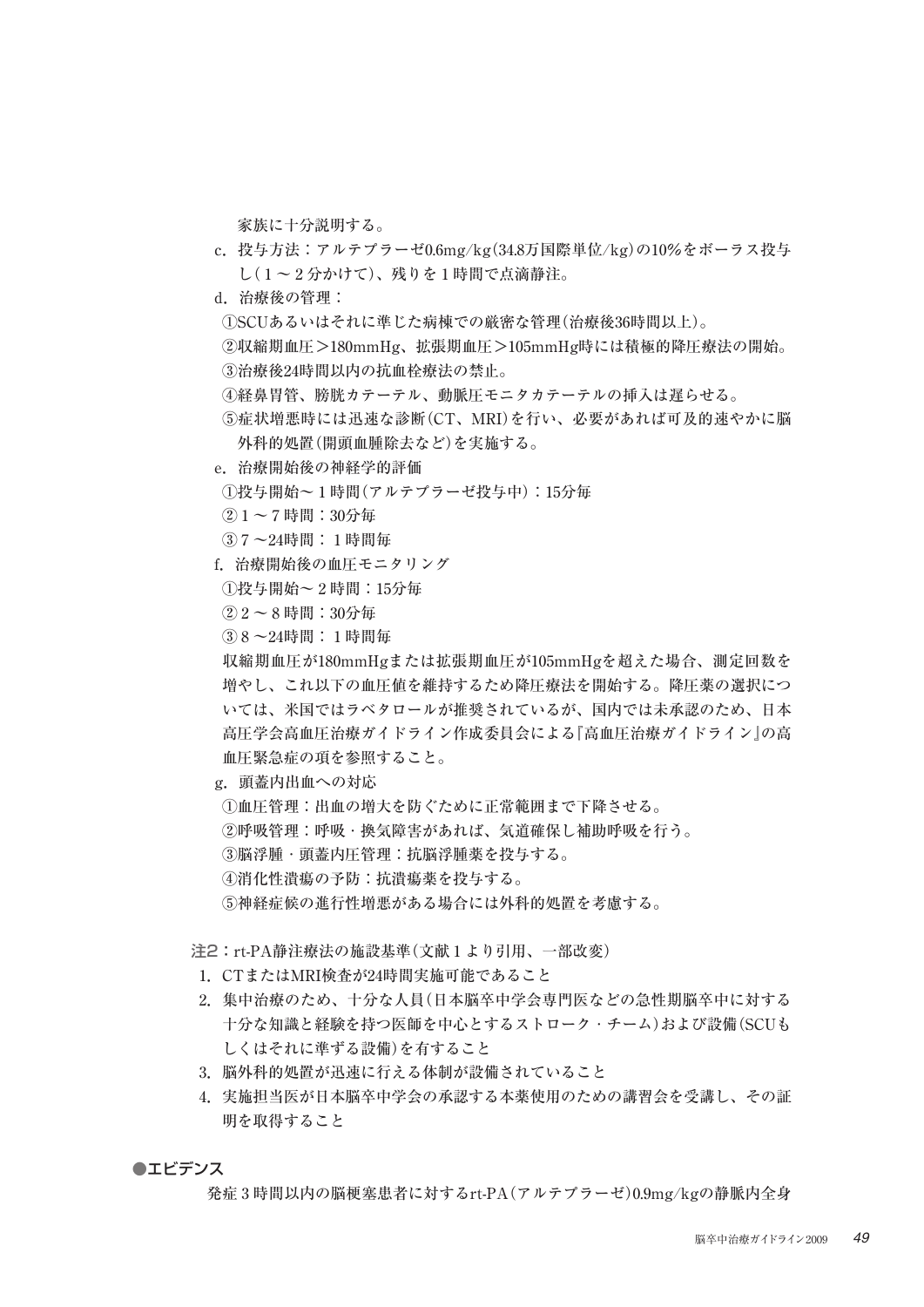家族に十分説明する。

- c.投与方法:アルテプラーゼ0.6mg/kg(34.8万国際単位/kg)の10%をボーラス投与 し( 1 ~ 2 分かけて)、残りを 1 時間で点滴静注。
- d.治療後の管理:
- ①SCUあるいはそれに準じた病棟での厳密な管理(治療後36時間以上)。
- ②収縮期血圧>180mmHg、拡張期血圧>105mmHg時には積極的降圧療法の開始。 ③治療後24時間以内の抗血栓療法の禁止。
- ④経鼻胃管、膀胱カテーテル、動脈圧モニタカテーテルの挿入は遅らせる。
- ⑤症状増悪時には迅速な診断(CT、MRI)を行い、必要があれば可及的速やかに脳 外科的処置(開頭血腫除去など)を実施する。
- e.治療開始後の神経学的評価
- ①投与開始~ 1 時間(アルテプラーゼ投与中):15分毎
- $(2)$  1 ~ 7 時間: 30分毎
- ③ 7 ~24時間: 1 時間毎
- f.治療開始後の血圧モニタリング
- $(1)$ 投与開始~ 2 時間: 15分毎
- $(2) 2 \sim 8$  時間: 30分毎
- ③ 8 ~24時間: 1 時間毎

 収縮期血圧が180mmHgまたは拡張期血圧が105mmHgを超えた場合、測定回数を 増やし、これ以下の血圧値を維持するため降圧療法を開始する。降圧薬の選択につ いては、米国ではラベタロールが推奨されているが、国内では未承認のため、日本 高圧学会高血圧治療ガイドライン作成委員会による『高血圧治療ガイドライン』の高 血圧緊急症の項を参照すること。

- g.頭蓋内出血への対応
- ①血圧管理:出血の増大を防ぐために正常範囲まで下降させる。
- ②呼吸管理:呼吸・換気障害があれば、気道確保し補助呼吸を行う。
- ③脳浮腫・頭蓋内圧管理:抗脳浮腫薬を投与する。
- ④消化性潰瘍の予防:抗潰瘍薬を投与する。
- ⑤神経症候の進行性増悪がある場合には外科的処置を考慮する。

注2:rt-PA静注療法の施設基準(文献 1 より引用、一部改変)

- 1.CTまたはMRI検査が24時間実施可能であること
- 2.集中治療のため、十分な人員(日本脳卒中学会専門医などの急性期脳卒中に対する 十分な知識と経験を持つ医師を中心とするストローク・チーム)および設備(SCUも しくはそれに準ずる設備)を有すること
- 3. 脳外科的処置が迅速に行える体制が設備されていること
- 4.実施担当医が日本脳卒中学会の承認する本薬使用のための講習会を受講し、その証 明を取得すること

## ●エビデンス

発症 3 時間以内の脳梗塞患者に対するrt-PA(アルテプラーゼ)0.9mg/kgの静脈内全身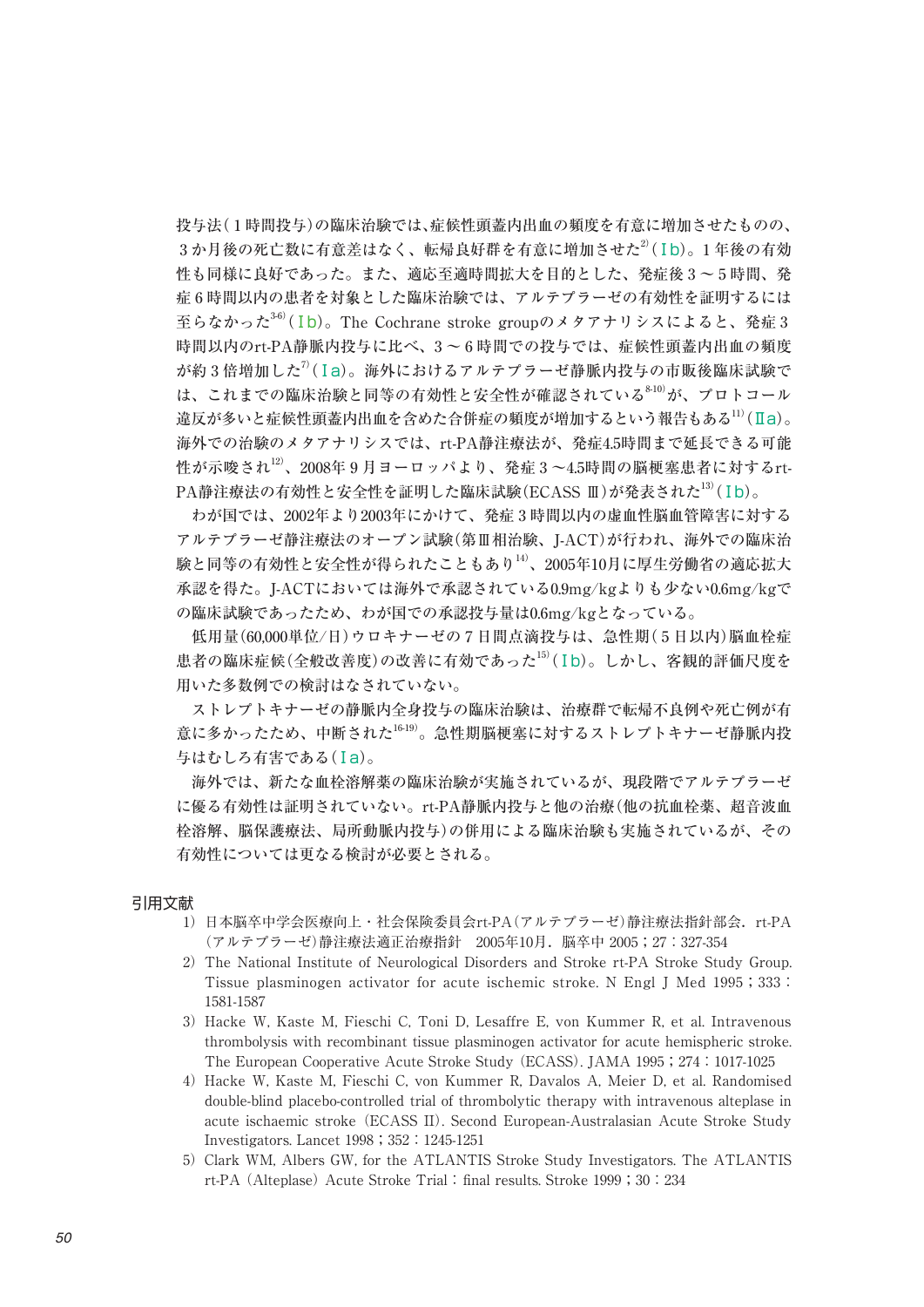投与法( 1 時間投与)の臨床治験では、症候性頭蓋内出血の頻度を有意に増加させたものの、 3か月後の死亡数に有意差はなく、転帰良好群を有意に増加させた<sup>2)</sup>(Ib)。1年後の有効 性も同様に良好であった。また、適応至適時間拡大を目的とした、発症後 3 ~ 5 時間、発 症 6 時間以内の患者を対象とした臨床治験では、アルテプラーゼの有効性を証明するには 至らなかった<sup>36)</sup>(Ib)。The Cochrane stroke groupのメタアナリシスによると、発症3 時間以内のrt-PA静脈内投与に比べ、3 ~ 6 時間での投与では、症候性頭蓋内出血の頻度 が約3倍増加した $\eta$ (Ia)。海外におけるアルテプラーゼ静脈内投与の市販後臨床試験で は、これまでの臨床治験と同等の有効性と安全性が確認されている<sup>8-10)</sup>が、プロトコール 違反が多いと症候性頭蓋内出血を含めた合併症の頻度が増加するという報告もある<sup>11)</sup>(Ⅱa)。 海外での治験のメタアナリシスでは、rt-PA静注療法が、発症4.5時間まで延長できる可能 性が示唆され $^{12}$ 、2008年9月ヨーロッパより、発症3~4.5時間の脳梗塞患者に対するrt- $PA静注療法の有効性と安全性を証明した臨床試験(ECASS  $\rm I\!I$ )が発表された $^{13)}$ (Ib)。$ 

 わが国では、2002年より2003年にかけて、発症 3 時間以内の虚血性脳血管障害に対する アルテプラーゼ静注療法のオープン試験(第Ⅲ相治験、J-ACT)が行われ、海外での臨床治 験と同等の有効性と安全性が得られたこともあり14)、2005年10月に厚生労働省の適応拡大 承認を得た。J-ACTにおいては海外で承認されている0.9mg/kgよりも少ない0.6mg/kgで の臨床試験であったため、わが国での承認投与量は0.6mg/kgとなっている。

 低用量(60,000単位/日)ウロキナーゼの 7 日間点滴投与は、急性期( 5 日以内)脳血栓症 患者の臨床症候(全般改善度)の改善に有効であった<sup>15)</sup>(Ib)。しかし、客観的評価尺度を 用いた多数例での検討はなされていない。

 ストレプトキナーゼの静脈内全身投与の臨床治験は、治療群で転帰不良例や死亡例が有 意に多かったため、中断された16-19)。急性期脳梗塞に対するストレプトキナーゼ静脈内投 与はむしろ有害である(Ⅰa)。

 海外では、新たな血栓溶解薬の臨床治験が実施されているが、現段階でアルテプラーゼ に優る有効性は証明されていない。rt-PA静脈内投与と他の治療(他の抗血栓薬、超音波血 栓溶解、脳保護療法、局所動脈内投与)の併用による臨床治験も実施されているが、その 有効性については更なる検討が必要とされる。

## 引用文献

- 1)日本脳卒中学会医療向上・社会保険委員会rt-PA(アルテプラーゼ)静注療法指針部会.rt-PA (アルテプラーゼ)静注療法適正治療指針 2005年10月.脳卒中 2005;27:327-354
- 2) The National Institute of Neurological Disorders and Stroke rt-PA Stroke Study Group. Tissue plasminogen activator for acute ischemic stroke. N Engl J Med 1995;333: 1581-1587
- 3) Hacke W, Kaste M, Fieschi C, Toni D, Lesaffre E, von Kummer R, et al. Intravenous thrombolysis with recombinant tissue plasminogen activator for acute hemispheric stroke. The European Cooperative Acute Stroke Study (ECASS). JAMA 1995;274:1017-1025
- 4)Hacke W, Kaste M, Fieschi C, von Kummer R, Davalos A, Meier D, et al. Randomised double-blind placebo-controlled trial of thrombolytic therapy with intravenous alteplase in acute ischaemic stroke (ECASS II). Second European-Australasian Acute Stroke Study Investigators. Lancet 1998;352:1245-1251
- 5) Clark WM, Albers GW, for the ATLANTIS Stroke Study Investigators. The ATLANTIS rt-PA (Alteplase) Acute Stroke Trial: final results. Stroke 1999;30:234